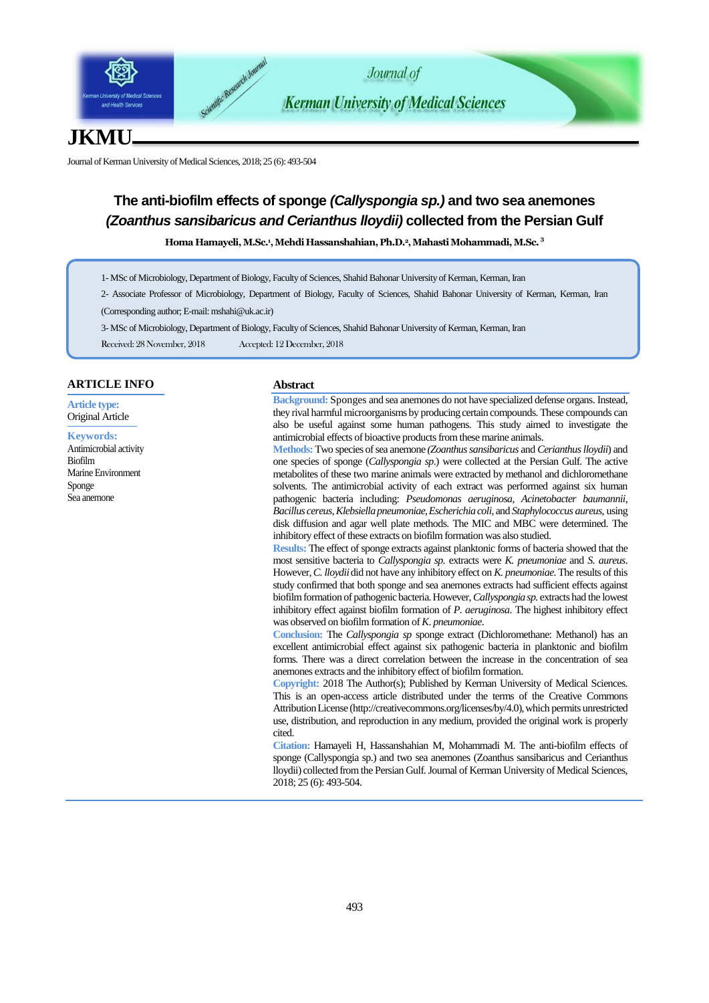

# **JKMU**

Journal of Kerman University of Medical Sciences, 2018; 25 (6): 493-504

# **The anti-biofilm effects of sponge** *(Callyspongia sp.)* **and two sea anemones**  *(Zoanthus sansibaricus and Cerianthus lloydii)* **collected from the Persian Gulf**

**Homa Hamayeli, M.Sc.<sup>1</sup> , Mehdi Hassanshahian, Ph.D.2, Mahasti Mohammadi, M.Sc. <sup>3</sup>**

- 1- MSc of Microbiology, Department of Biology, Faculty of Sciences, Shahid Bahonar University of Kerman, Kerman, Iran
- 2- Associate Professor of Microbiology, Department of Biology, Faculty of Sciences, Shahid Bahonar University of Kerman, Kerman, Iran
- (Corresponding author; E-mai[l: mshahi@uk.ac.ir](mailto:mshahi@uk.ac.ir))
- 3- MSc of Microbiology, Department of Biology, Faculty of Sciences, Shahid Bahonar University of Kerman, Kerman, Iran
- Received: 28 November, 2018 Accepted: 12 December, 2018

# **ARTICLE INFO**

**Article type:** Original Article

**Keywords:** Antimicrobial activity Biofilm Marine Environment Sponge Sea anemone

# **Abstract**

**Background:** Sponges and sea anemones do not have specialized defense organs. Instead, they rival harmful microorganisms by producing certain compounds. These compounds can also be useful against some human pathogens. This study aimed to investigate the antimicrobial effects of bioactive products from these marine animals.

**Methods:**Two species of sea anemone *(Zoanthus sansibaricus* and *Cerianthus lloydii*) and one species of sponge (*Callyspongia sp*.) were collected at the Persian Gulf. The active metabolites of these two marine animals were extracted by methanol and dichloromethane solvents. The antimicrobial activity of each extract was performed against six human pathogenic bacteria including: *Pseudomonas aeruginosa*, *Acinetobacter baumannii*, *Bacillus cereus*, *Klebsiella pneumoniae*, *Escherichia coli*, and *Staphylococcus aureus*, using disk diffusion and agar well plate methods. The MIC and MBC were determined. The inhibitory effect of these extracts on biofilm formation was also studied.

**Results:** The effect of sponge extracts against planktonic forms of bacteria showed that the most sensitive bacteria to *Callyspongia sp.* extracts were *K. pneumoniae* and *S. aureus*. However, *C. lloydii*did not have any inhibitory effect on *K. pneumoniae*. The results of this study confirmed that both sponge and sea anemones extracts had sufficient effects against biofilm formation of pathogenic bacteria.However,*Callyspongia sp.* extracts had the lowest inhibitory effect against biofilm formation of *P. aeruginosa*. The highest inhibitory effect was observed on biofilm formation of *K*. *pneumoniae*.

**Conclusion:** The *Callyspongia sp* sponge extract (Dichloromethane: Methanol) has an excellent antimicrobial effect against six pathogenic bacteria in planktonic and biofilm forms. There was a direct correlation between the increase in the concentration of sea anemones extracts and the inhibitory effect of biofilm formation.

**Copyright:** 2018 The Author(s); Published by Kerman University of Medical Sciences. This is an open-access article distributed under the terms of the Creative Commons Attribution License (http://creativecommons.org/licenses/by/4.0), which permits unrestricted use, distribution, and reproduction in any medium, provided the original work is properly cited.

**Citation:** Hamayeli H, Hassanshahian M, Mohammadi M. The anti-biofilm effects of sponge (Callyspongia sp.) and two sea anemones (Zoanthus sansibaricus and Cerianthus lloydii) collected from the Persian Gulf. Journal of Kerman University of Medical Sciences, 2018; 25 (6): 493-504.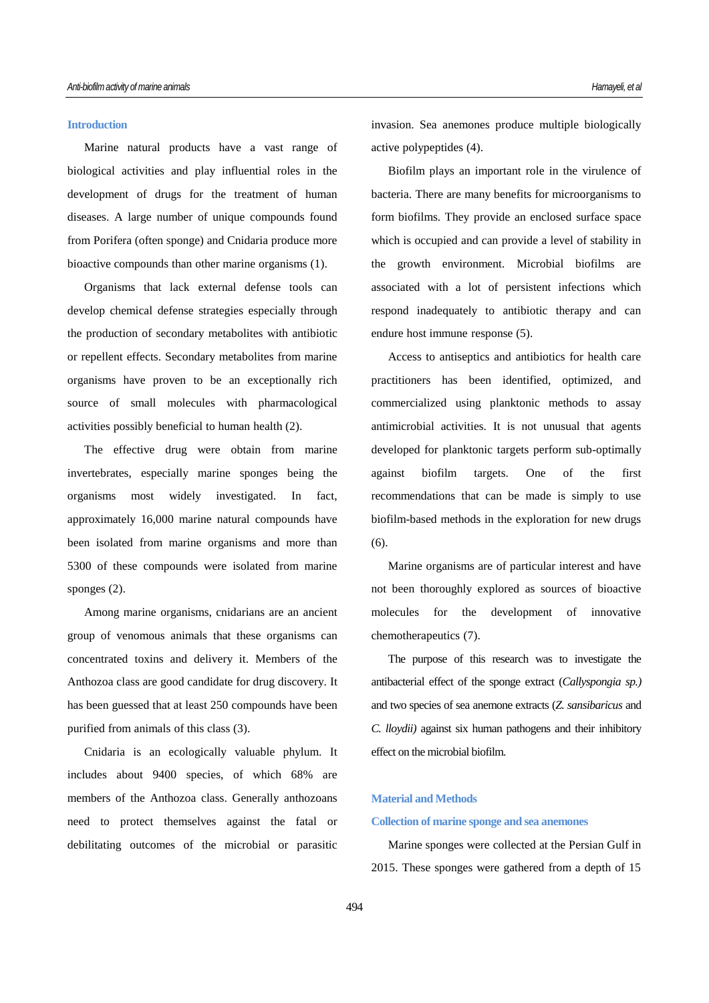## **Introduction**

Marine natural products have a vast range of biological activities and play influential roles in the development of drugs for the treatment of human diseases. A large number of unique compounds found from Porifera (often sponge) and Cnidaria produce more bioactive compounds than other marine organisms (1).

Organisms that lack external defense tools can develop chemical defense strategies especially through the production of secondary metabolites with antibiotic or repellent effects. Secondary metabolites from marine organisms have proven to be an exceptionally rich source of small molecules with pharmacological activities possibly beneficial to human health (2).

The effective drug were obtain from marine invertebrates, especially marine sponges being the organisms most widely investigated. In fact, approximately 16,000 marine natural compounds have been isolated from marine organisms and more than 5300 of these compounds were isolated from marine sponges (2).

Among marine organisms, cnidarians are an ancient group of venomous animals that these organisms can concentrated toxins and delivery it. Members of the Anthozoa class are good candidate for drug discovery. It has been guessed that at least 250 compounds have been purified from animals of this class (3).

Cnidaria is an ecologically valuable phylum. It includes about 9400 species, of which 68% are members of the Anthozoa class. Generally anthozoans need to protect themselves against the fatal or debilitating outcomes of the microbial or parasitic invasion. Sea anemones produce multiple biologically active polypeptides (4).

Biofilm plays an important role in the virulence of bacteria. There are many benefits for microorganisms to form biofilms. They provide an enclosed surface space which is occupied and can provide a level of stability in the growth environment. Microbial biofilms are associated with a lot of persistent infections which respond inadequately to antibiotic therapy and can endure host immune response (5).

Access to antiseptics and antibiotics for health care practitioners has been identified, optimized, and commercialized using planktonic methods to assay antimicrobial activities. It is not unusual that agents developed for planktonic targets perform sub-optimally against biofilm targets. One of the first recommendations that can be made is simply to use biofilm-based methods in the exploration for new drugs (6).

Marine organisms are of particular interest and have not been thoroughly explored as sources of bioactive molecules for the development of innovative chemotherapeutics (7).

The purpose of this research was to investigate the antibacterial effect of the sponge extract (*Callyspongia sp.)* and two species of sea anemone extracts (*Z. sansibaricus* and *C. lloydii)* against six human pathogens and their inhibitory effect on the microbial biofilm.

## **Material and Methods**

#### **Collection of marine sponge and sea anemones**

Marine sponges were collected at the Persian Gulf in 2015. These sponges were gathered from a depth of 15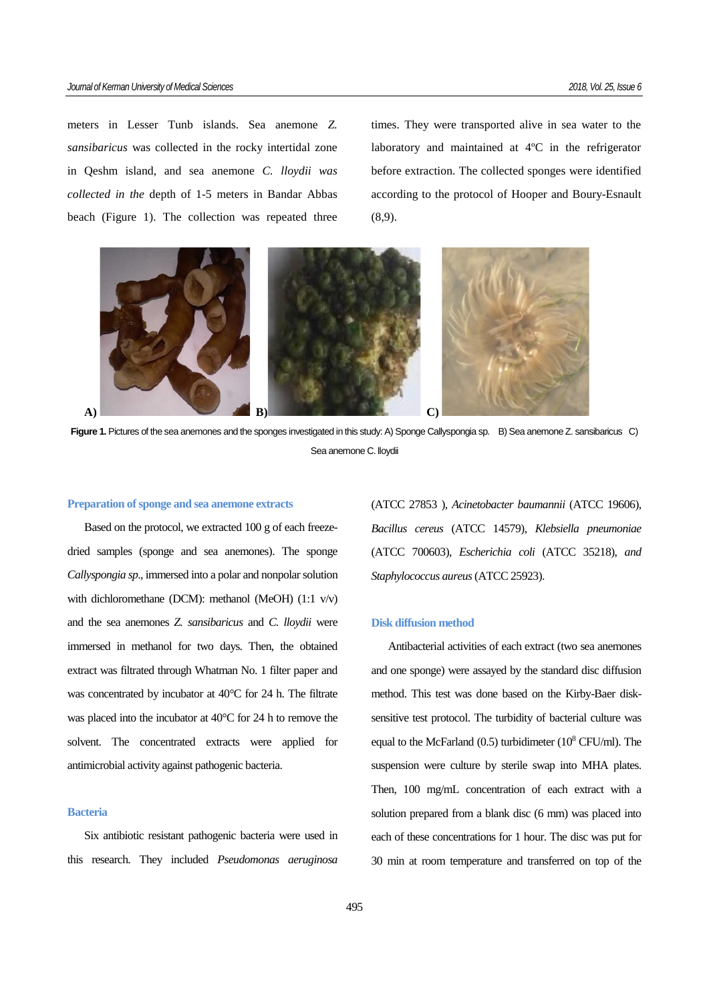meters in Lesser Tunb islands. Sea anemone *Z. sansibaricus* was collected in the rocky intertidal zone in Qeshm island, and sea anemone *C. lloydii was collected in the* depth of 1-5 meters in Bandar Abbas beach (Figure 1). The collection was repeated three times. They were transported alive in sea water to the laboratory and maintained at 4ºC in the refrigerator before extraction. The collected sponges were identified according to the protocol of Hooper and Boury-Esnault (8,9).



Figure 1. Pictures of the sea anemones and the sponges investigated in this study: A) Sponge Callyspongia sp. B) Sea anemone Z. sansibaricus C) Sea anemone C. lloydii

#### **Preparation of sponge and sea anemone extracts**

Based on the protocol, we extracted 100 g of each freezedried samples (sponge and sea anemones). The sponge *Callyspongia sp*., immersed into a polar and nonpolar solution with dichloromethane (DCM): methanol (MeOH) (1:1 v/v) and the sea anemones *Z. sansibaricus* and *C. lloydii* were immersed in methanol for two days. Then, the obtained extract was filtrated through Whatman No. 1 filter paper and was concentrated by incubator at 40°C for 24 h. The filtrate was placed into the incubator at 40°C for 24 h to remove the solvent. The concentrated extracts were applied for antimicrobial activity against pathogenic bacteria.

# **Bacteria**

Six antibiotic resistant pathogenic bacteria were used in this research. They included *Pseudomonas aeruginosa* 

(ATCC 27853 ), *Acinetobacter baumannii* (ATCC 19606), *[Bacillus cereus](https://www.google.com/search?biw=1024&bih=565&q=bacillus+cereus&spell=1&sa=X&psj=1&psj=1&psj=1&psj=1&psj=1&psj=1&psj=1&ved=0ahUKEwjQyc_w6fvQAhWlC8AKHZCRBC4QvwUIFigA)* (ATCC 14579), *Klebsiella pneumoniae* (ATCC 700603), *[Escherichia coli](https://www.google.com/search?biw=1024&bih=565&q=escherichia+coli&spell=1&sa=X&psj=1&ved=0ahUKEwjhnMub6vvQAhVjLcAKHVPqAGUQvwUIFigA)* (ATCC 35218), *and Staphylococcus aureus* (ATCC 25923).

# **Disk diffusion method**

Antibacterial activities of each extract (two sea anemones and one sponge) were assayed by the standard disc diffusion method. This test was done based on the Kirby-Baer disksensitive test protocol. The turbidity of bacterial culture was equal to the McFarland  $(0.5)$  turbidimeter  $(10^8 \text{ CFU/ml})$ . The suspension were culture by sterile swap into MHA plates. Then, 100 mg/mL concentration of each extract with a solution prepared from a blank disc (6 mm) was placed into each of these concentrations for 1 hour. The disc was put for 30 min at room temperature and transferred on top of the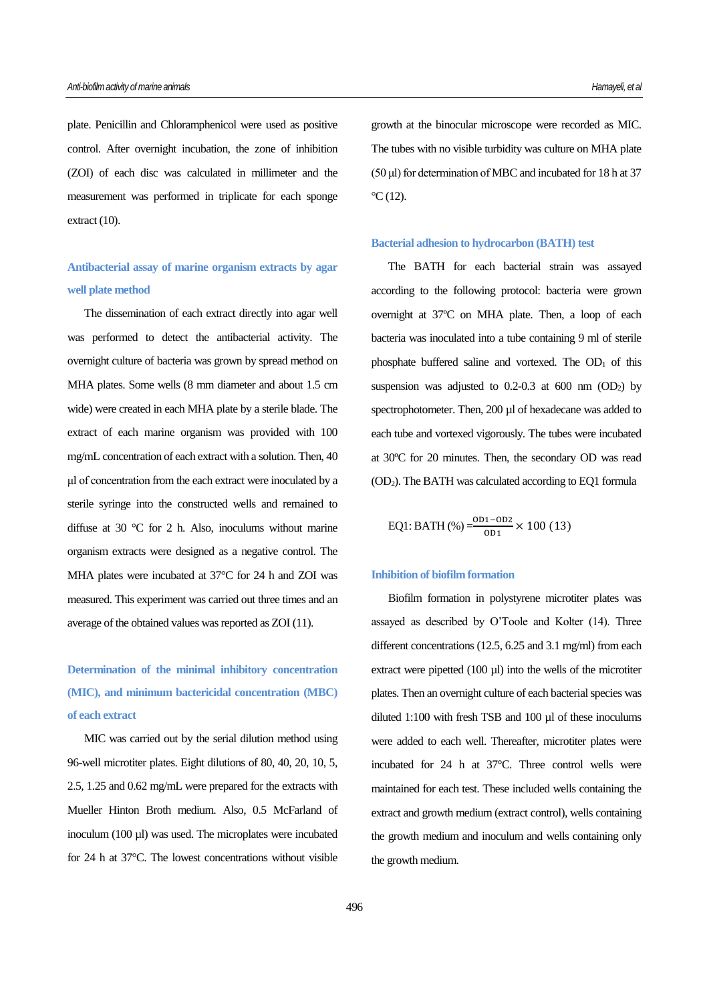plate. Penicillin and Chloramphenicol were used as positive control. After overnight incubation, the zone of inhibition (ZOI) of each disc was calculated in millimeter and the measurement was performed in triplicate for each sponge extract (10).

**Antibacterial assay of marine organism extracts by agar well plate method**

The dissemination of each extract directly into agar well was performed to detect the antibacterial activity. The overnight culture of bacteria was grown by spread method on MHA plates. Some wells (8 mm diameter and about 1.5 cm wide) were created in each MHA plate by a sterile blade. The extract of each marine organism was provided with 100 mg/mL concentration of each extract with a solution. Then, 40 μl of concentration from the each extract were inoculated by a sterile syringe into the constructed wells and remained to diffuse at 30 °C for 2 h. Also, inoculums without marine organism extracts were designed as a negative control. The MHA plates were incubated at 37°C for 24 h and ZOI was measured. This experiment was carried out three times and an average of the obtained values was reported as ZOI (11).

**Determination of the minimal inhibitory concentration (MIC), and minimum bactericidal concentration (MBC) of each extract**

MIC was carried out by the serial dilution method using 96-well microtiter plates. Eight dilutions of 80, 40, 20, 10, 5, 2.5, 1.25 and 0.62 mg/mL were prepared for the extracts with Mueller Hinton Broth medium. Also, 0.5 McFarland of inoculum (100 µl) was used. The microplates were incubated for 24 h at 37°C. The lowest concentrations without visible growth at the binocular microscope were recorded as MIC. The tubes with no visible turbidity was culture on MHA plate (50 μl) for determination of MBC and incubated for 18 h at 37  $\rm{^{\circ}C(12)}$ .

#### **Bacterial adhesion to hydrocarbon (BATH) test**

The BATH for each bacterial strain was assayed according to the following protocol: bacteria were grown overnight at 37ºC on MHA plate. Then, a loop of each bacteria was inoculated into a tube containing 9 ml of sterile phosphate buffered saline and vortexed. The  $OD<sub>1</sub>$  of this suspension was adjusted to  $0.2$ -0.3 at  $600$  nm  $(OD<sub>2</sub>)$  by spectrophotometer. Then, 200 µl of hexadecane was added to each tube and vortexed vigorously. The tubes were incubated at 30ºC for 20 minutes. Then, the secondary OD was read (OD2). The BATH was calculated according to EQ1 formula

EQ1: BATH (%) = 
$$
\frac{OD1 - OD2}{OD1} \times 100
$$
 (13)

#### **Inhibition of biofilm formation**

Biofilm formation in polystyrene microtiter plates was assayed as described by O'Toole and Kolter (14). Three different concentrations (12.5, 6.25 and 3.1 mg/ml) from each extract were pipetted  $(100 \mu l)$  into the wells of the microtiter plates. Then an overnight culture of each bacterial species was diluted 1:100 with fresh TSB and 100 µl of these inoculums were added to each well. Thereafter, microtiter plates were incubated for 24 h at 37°C. Three control wells were maintained for each test. These included wells containing the extract and growth medium (extract control), wells containing the growth medium and inoculum and wells containing only the growth medium.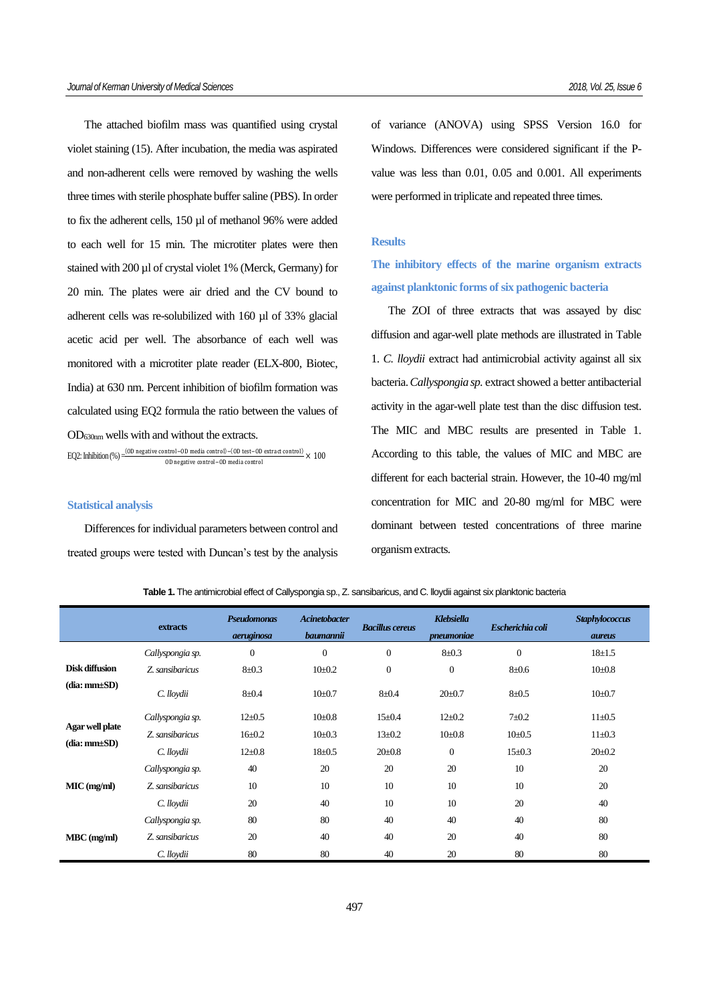The attached biofilm mass was quantified using crystal violet staining (15). After incubation, the media was aspirated and non-adherent cells were removed by washing the wells three times with sterile phosphate buffer saline (PBS). In order to fix the adherent cells, 150 µl of methanol 96% were added to each well for 15 min. The microtiter plates were then stained with 200 µl of crystal violet 1% (Merck, Germany) for 20 min. The plates were air dried and the CV bound to adherent cells was re-solubilized with 160 µl of 33% glacial acetic acid per well. The absorbance of each well was monitored with a microtiter plate reader (ELX-800, Biotec, India) at 630 nm. Percent inhibition of biofilm formation was calculated using EQ2 formula the ratio between the values of OD630nm wells with and without the extracts.

EQ2: Inhibition (%) =  $\frac{(OD \text{ negative control}-OD \text{ media control})-(OD \text{ test}-OD \text{ extract control})}{CD \cdot (OD \text{ test}-OD \text{ extract control})} \times 100$ OD negative control−OD media control

## **Statistical analysis**

Differences for individual parameters between control and treated groups were tested with Duncan's test by the analysis of variance (ANOVA) using SPSS Version 16.0 for Windows. Differences were considered significant if the Pvalue was less than 0.01, 0.05 and 0.001. All experiments were performed in triplicate and repeated three times.

# **Results**

**The inhibitory effects of the marine organism extracts against planktonic forms of six pathogenic bacteria**

The ZOI of three extracts that was assayed by disc diffusion and agar-well plate methods are illustrated in Table 1. *C. lloydii* extract had antimicrobial activity against all six bacteria. *Callyspongia sp.* extract showed a better antibacterial activity in the agar-well plate test than the disc diffusion test. The MIC and MBC results are presented in Table 1. According to this table, the values of MIC and MBC are different for each bacterial strain. However, the 10-40 mg/ml concentration for MIC and 20-80 mg/ml for MBC were dominant between tested concentrations of three marine organism extracts.

**Table 1.** The antimicrobial effect of Callyspongia sp., Z. sansibaricus, and C. lloydii against six planktonic bacteria

|                                     | extracts         | <b>Pseudomonas</b><br>aeruginosa | <b>Acinetobacter</b><br>baumannii | <b>Bacillus cereus</b> | <b>Klebsiella</b><br>pneumoniae | Escherichia coli | <b>Staphylococcus</b><br><i><b>aureus</b></i> |
|-------------------------------------|------------------|----------------------------------|-----------------------------------|------------------------|---------------------------------|------------------|-----------------------------------------------|
|                                     | Callyspongia sp. | $\boldsymbol{0}$                 | $\overline{0}$                    | $\mathbf{0}$           | $8 + 0.3$                       | $\overline{0}$   | $18 \pm 1.5$                                  |
| Disk diffusion<br>$(dia:mm\pm SD)$  | Z. sansibaricus  | $8 + 0.3$                        | $10+0.2$                          | $\mathbf{0}$           | $\mathbf{0}$                    | $8 + 0.6$        | $10 \pm 0.8$                                  |
|                                     | C. lloydii       | $8 + 0.4$                        | $10 \pm 0.7$                      | $8 + 0.4$              | $20 \pm 0.7$                    | $8 + 0.5$        | $10 \pm 0.7$                                  |
| Agar well plate<br>$(dia:mm\pm SD)$ | Callyspongia sp. | $12+0.5$                         | $10 \pm 0.8$                      | $15 \pm 0.4$           | $12+0.2$                        | $7 + 0.2$        | $11 \pm 0.5$                                  |
|                                     | Z sansibaricus   | $16 \pm 0.2$                     | $10 \pm 0.3$                      | $13 \pm 0.2$           | $10 \pm 0.8$                    | $10 \pm 0.5$     | $11 \pm 0.3$                                  |
|                                     | C. lloydii       | $12 \pm 0.8$                     | $18 + 0.5$                        | $20 \pm 0.8$           | $\mathbf{0}$                    | $15+0.3$         | $20 \pm 0.2$                                  |
| $MIC$ (mg/ml)                       | Callyspongia sp. | 40                               | 20                                | 20                     | 20                              | 10               | 20                                            |
|                                     | Z sansibaricus   | 10                               | 10                                | 10                     | 10                              | 10               | 20                                            |
|                                     | C. lloydii       | 20                               | 40                                | 10                     | 10                              | 20               | 40                                            |
| $MBC$ (mg/ml)                       | Callyspongia sp. | 80                               | 80                                | 40                     | 40                              | 40               | 80                                            |
|                                     | Z. sansibaricus  | 20                               | 40                                | 40                     | 20                              | 40               | 80                                            |
|                                     | C. lloydii       | 80                               | 80                                | 40                     | 20                              | 80               | 80                                            |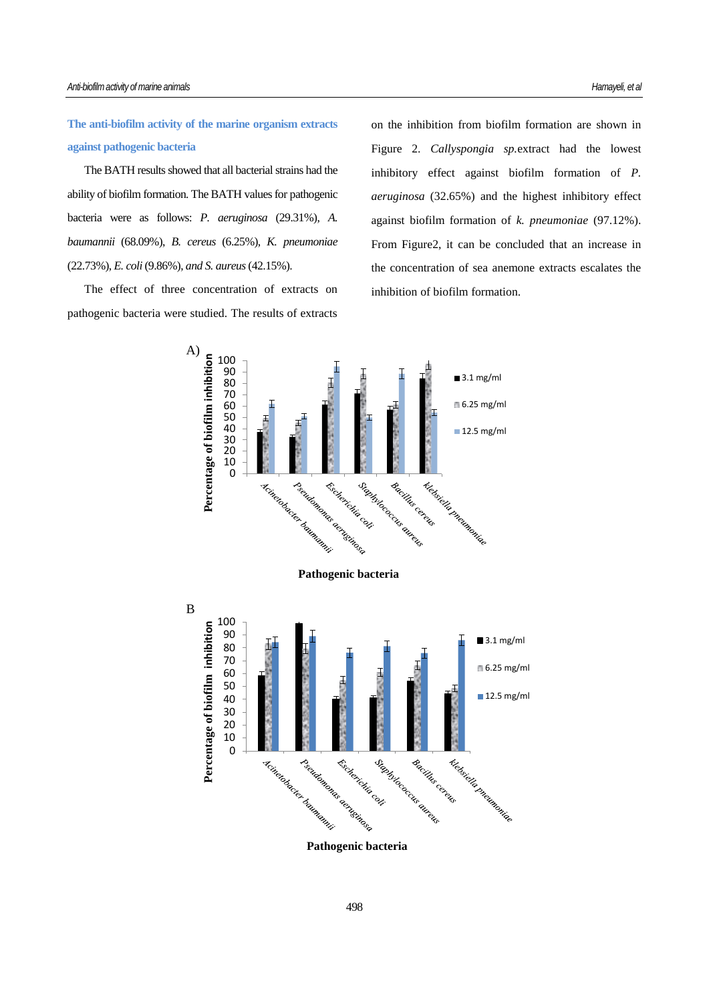**The anti-biofilm activity of the marine organism extracts against pathogenic bacteria**

The BATH results showed that all bacterial strains had the ability of biofilm formation. The BATH values for pathogenic bacteria were as follows: *P. aeruginosa* (29.31%), *A. baumannii* (68.09%), *[B. cereus](https://www.google.com/search?biw=1024&bih=565&q=bacillus+cereus&spell=1&sa=X&psj=1&psj=1&psj=1&psj=1&psj=1&psj=1&psj=1&ved=0ahUKEwjQyc_w6fvQAhWlC8AKHZCRBC4QvwUIFigA)* (6.25%), *K. pneumoniae*  (22.73%), *[E. coli](https://www.google.com/search?biw=1024&bih=565&q=escherichia+coli&spell=1&sa=X&psj=1&ved=0ahUKEwjhnMub6vvQAhVjLcAKHVPqAGUQvwUIFigA)* (9.86%), *and S. aureus* (42.15%).

The effect of three concentration of extracts on pathogenic bacteria were studied. The results of extracts on the inhibition from biofilm formation are shown in Figure 2. *Callyspongia sp.*extract had the lowest inhibitory effect against biofilm formation of *P. aeruginosa* (32.65%) and the highest inhibitory effect against biofilm formation of *k. pneumoniae* (97.12%). From Figure2, it can be concluded that an increase in the concentration of sea anemone extracts escalates the inhibition of biofilm formation.

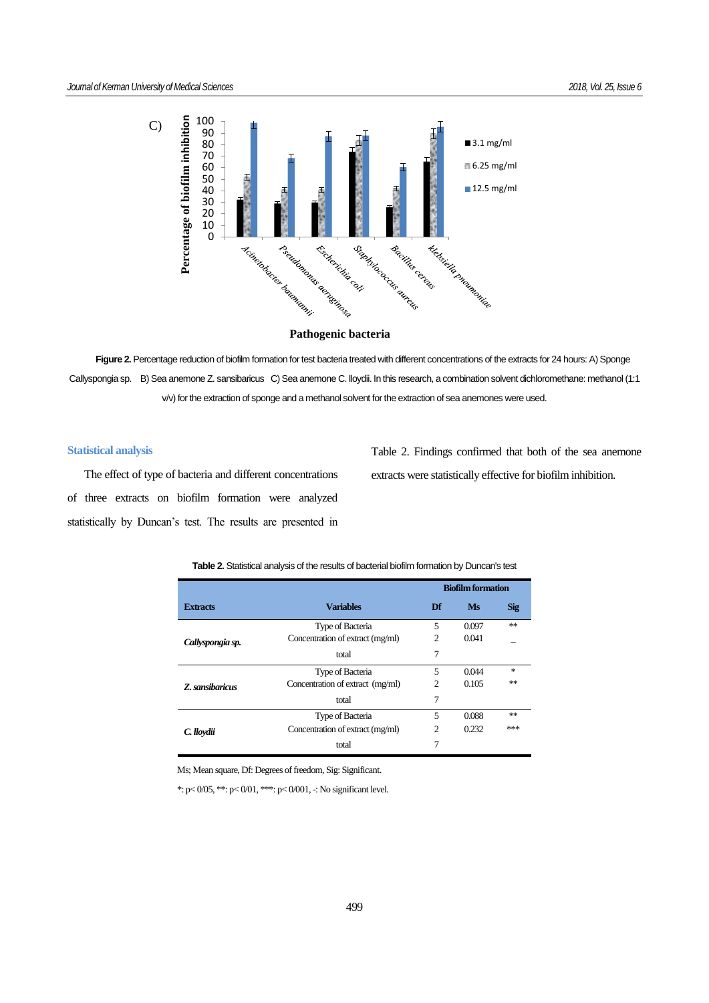

Figure 2. Percentage reduction of biofilm formation for test bacteria treated with different concentrations of the extracts for 24 hours: A) Sponge Callyspongia sp. B) Sea anemone Z. sansibaricus C) Sea anemone C. lloydii. In this research, a combination solvent dichloromethane: methanol (1:1 v/v) for the extraction of sponge and a methanol solvent for the extraction of sea anemones were used.

# **Statistical analysis**

The effect of type of bacteria and different concentrations of three extracts on biofilm formation were analyzed statistically by Duncan's test. The results are presented in

Table 2. Findings confirmed that both of the sea anemone extracts were statistically effective for biofilm inhibition.

|                  |                                  | <b>Biofilm formation</b> |       |            |
|------------------|----------------------------------|--------------------------|-------|------------|
| <b>Extracts</b>  | <b>Variables</b>                 | Df                       | Ms    | <b>Sig</b> |
|                  | Type of Bacteria                 | 5                        | 0.097 | **         |
| Callyspongia sp. | Concentration of extract (mg/ml) | 2                        | 0.041 |            |
|                  | total                            | 7                        |       |            |
|                  | Type of Bacteria                 | 5                        | 0.044 | 永          |
| Z. sansibaricus  | Concentration of extract (mg/ml) | $\overline{c}$           | 0.105 | **         |
|                  | total                            | 7                        |       |            |
|                  | Type of Bacteria                 | 5                        | 0.088 | **         |
| C. lloydii       | Concentration of extract (mg/ml) | $\overline{c}$           | 0.232 | ***        |
|                  | total                            | 7                        |       |            |

#### **Table 2.** Statistical analysis of the results of bacterial biofilm formation by Duncan's test

Ms; Mean square, Df: Degrees of freedom, Sig: Significant.

\*:  $p < 0/05$ , \*\*:  $p < 0/01$ , \*\*\*:  $p < 0/001$ , -: No significant level.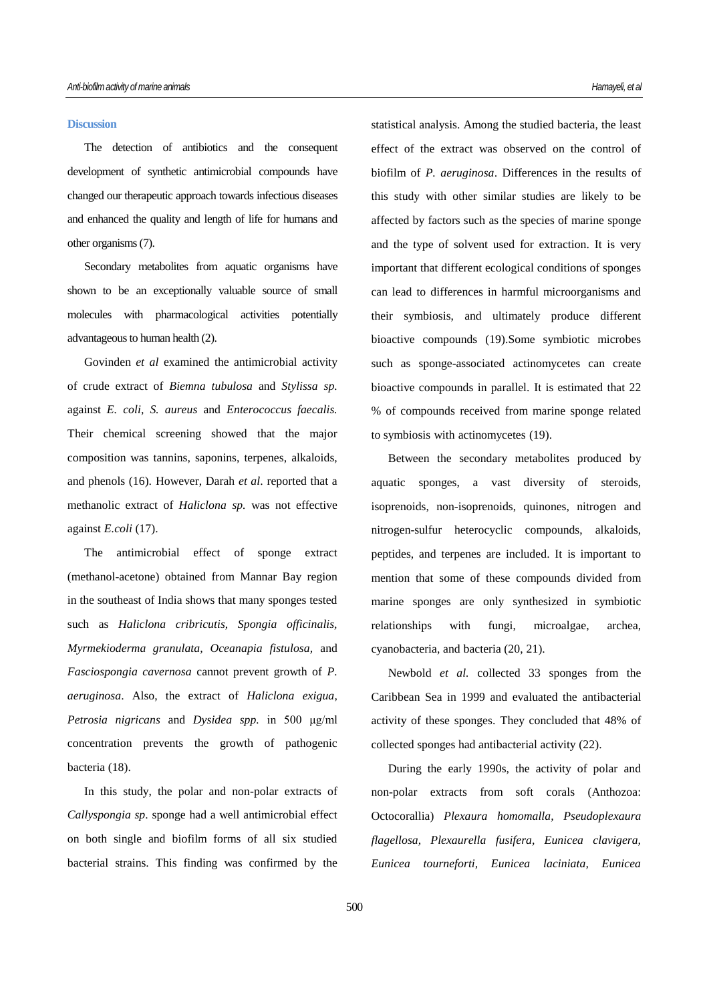## **Discussion**

The detection of antibiotics and the consequent development of synthetic antimicrobial compounds have changed our therapeutic approach towards infectious diseases and enhanced the quality and length of life for humans and other organisms (7).

Secondary metabolites from aquatic organisms have shown to be an exceptionally valuable source of small molecules with pharmacological activities potentially advantageous to human health (2).

Govinden *et al* examined the antimicrobial activity of crude extract of *Biemna tubulosa* and *Stylissa sp.*  against *E. coli*, *S. aureus* and *Enterococcus faecalis.* Their chemical screening showed that the major composition was tannins, saponins, terpenes, alkaloids, and phenols (16). However, Darah *et al*. reported that a methanolic extract of *Haliclona sp.* was not effective against *E.coli* (17).

The antimicrobial effect of sponge extract (methanol-acetone) obtained from Mannar Bay region in the southeast of India shows that many sponges tested such as *Haliclona cribricutis, Spongia officinalis, Myrmekioderma granulata, Oceanapia fistulosa,* and *Fasciospongia cavernosa* cannot prevent growth of *P. aeruginosa*. Also, the extract of *Haliclona exigua*, *Petrosia nigricans* and *Dysidea spp.* in 500 μg/ml concentration prevents the growth of pathogenic bacteria (18).

In this study, the polar and non-polar extracts of *Callyspongia sp*. sponge had a well antimicrobial effect on both single and biofilm forms of all six studied bacterial strains. This finding was confirmed by the

statistical analysis. Among the studied bacteria, the least effect of the extract was observed on the control of biofilm of *P. aeruginosa*. Differences in the results of this study with other similar studies are likely to be affected by factors such as the species of marine sponge and the type of solvent used for extraction. It is very important that different ecological conditions of sponges can lead to differences in harmful microorganisms and their symbiosis, and ultimately produce different bioactive compounds (19).Some symbiotic microbes such as sponge-associated actinomycetes can create bioactive compounds in parallel. It is estimated that 22 % of compounds received from marine sponge related to symbiosis with actinomycetes (19).

Between the secondary metabolites produced by aquatic sponges, a vast diversity of steroids, isoprenoids, non-isoprenoids, quinones, nitrogen and nitrogen-sulfur heterocyclic compounds, alkaloids, peptides, and terpenes are included. It is important to mention that some of these compounds divided from marine sponges are only synthesized in symbiotic relationships with fungi, microalgae, archea, cyanobacteria, and bacteria (20, 21).

Newbold *et al.* collected 33 sponges from the Caribbean Sea in 1999 and evaluated the antibacterial activity of these sponges. They concluded that 48% of collected sponges had antibacterial activity (22).

During the early 1990s, the activity of polar and non-polar extracts from soft corals (Anthozoa: Octocorallia) *Plexaura homomalla, Pseudoplexaura flagellosa, Plexaurella fusifera, Eunicea clavigera, Eunicea tourneforti, Eunicea laciniata, Eunicea*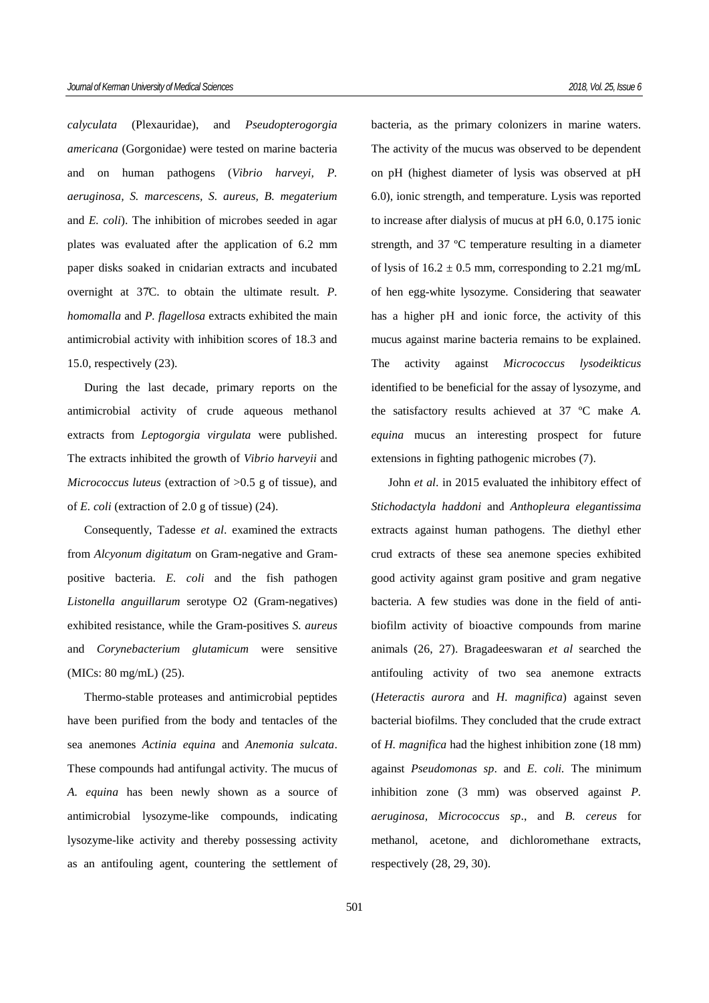*calyculata* (Plexauridae), and *Pseudopterogorgia americana* (Gorgonidae) were tested on marine bacteria and on human pathogens (*Vibrio harveyi, P. aeruginosa, S. marcescens, S. aureus, B. megaterium*  and *E. coli*). The inhibition of microbes seeded in agar plates was evaluated after the application of 6.2 mm paper disks soaked in cnidarian extracts and incubated overnight at 37̊C. to obtain the ultimate result. *P. homomalla* and *P. flagellosa* extracts exhibited the main antimicrobial activity with inhibition scores of 18.3 and 15.0, respectively (23).

During the last decade, primary reports on the antimicrobial activity of crude aqueous methanol extracts from *Leptogorgia virgulata* were published. The extracts inhibited the growth of *Vibrio harveyii* and *Micrococcus luteus* (extraction of >0.5 g of tissue), and of *E. coli* (extraction of 2.0 g of tissue) (24).

Consequently, Tadesse *et al*. examined the extracts from *Alcyonum digitatum* on Gram-negative and Grampositive bacteria. *E. coli* and the fish pathogen *Listonella anguillarum* serotype O2 (Gram-negatives) exhibited resistance, while the Gram-positives *S. aureus* and *Corynebacterium glutamicum* were sensitive (MICs: 80 mg/mL) (25).

Thermo-stable proteases and antimicrobial peptides have been purified from the body and tentacles of the sea anemones *Actinia equina* and *Anemonia sulcata*. These compounds had antifungal activity. The mucus of *A. equina* has been newly shown as a source of antimicrobial lysozyme-like compounds, indicating lysozyme-like activity and thereby possessing activity as an antifouling agent, countering the settlement of bacteria, as the primary colonizers in marine waters. The activity of the mucus was observed to be dependent on pH (highest diameter of lysis was observed at pH 6.0), ionic strength, and temperature. Lysis was reported to increase after dialysis of mucus at pH 6.0, 0.175 ionic strength, and 37 ºC temperature resulting in a diameter of lysis of  $16.2 \pm 0.5$  mm, corresponding to 2.21 mg/mL of hen egg-white lysozyme. Considering that seawater has a higher pH and ionic force, the activity of this mucus against marine bacteria remains to be explained. The activity against *Micrococcus lysodeikticus* identified to be beneficial for the assay of lysozyme, and the satisfactory results achieved at 37 ºC make *A. equina* mucus an interesting prospect for future extensions in fighting pathogenic microbes (7).

John *et al*. in 2015 evaluated the inhibitory effect of *Stichodactyla haddoni* and *Anthopleura elegantissima* extracts against human pathogens. The diethyl ether crud extracts of these sea anemone species exhibited good activity against gram positive and gram negative bacteria. A few studies was done in the field of antibiofilm activity of bioactive compounds from marine animals (26, 27). Bragadeeswaran *et al* searched the antifouling activity of two sea anemone extracts (*Heteractis aurora* and *H. magnifica*) against seven bacterial biofilms. They concluded that the crude extract of *H. magnifica* had the highest inhibition zone (18 mm) against *Pseudomonas sp*. and *E. coli.* The minimum inhibition zone (3 mm) was observed against *P. aeruginosa, Micrococcus sp*., and *B. [cereus](https://www.google.com/search?biw=1280&bih=706&q=Bacillus+cereus&spell=1&sa=X&ved=0ahUKEwj03vq4tPTRAhXjBsAKHVwpDj8QBQgWKAA)* for methanol, acetone, and dichloromethane extracts, respectively (28, 29, 30).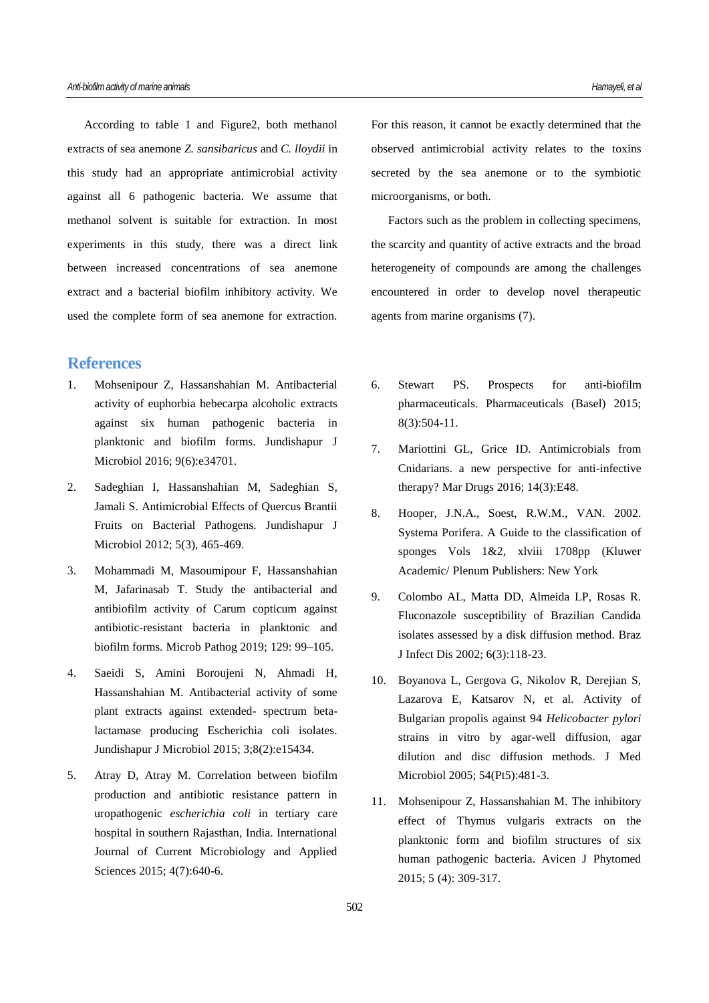According to table 1 and Figure2, both methanol extracts of sea anemone *Z. sansibaricus* and *C. lloydii* in this study had an appropriate antimicrobial activity against all 6 pathogenic bacteria. We assume that methanol solvent is suitable for extraction. In most experiments in this study, there was a direct link between increased concentrations of sea anemone extract and a bacterial biofilm inhibitory activity. We used the complete form of sea anemone for extraction.

# **References**

- 1. Mohsenipour Z, Hassanshahian M. Antibacterial activity of euphorbia hebecarpa alcoholic extracts against six human pathogenic bacteria in planktonic and biofilm forms. Jundishapur J Microbiol 2016; 9(6):e34701.
- 2. Sadeghian I, Hassanshahian M, Sadeghian S, Jamali S. Antimicrobial Effects of Quercus Brantii Fruits on Bacterial Pathogens. Jundishapur J Microbiol 2012; 5(3), 465-469.
- 3. Mohammadi M, Masoumipour F, Hassanshahian M, Jafarinasab T. Study the antibacterial and antibiofilm activity of Carum copticum against antibiotic-resistant bacteria in planktonic and biofilm forms. Microb Pathog 2019; 129: 99–105.
- 4. Saeidi S, Amini Boroujeni N, Ahmadi H, Hassanshahian M. Antibacterial activity of some plant extracts against extended- spectrum betalactamase producing Escherichia coli isolates. Jundishapur J Microbiol 2015; 3;8(2):e15434.
- 5. Atray D, Atray M. Correlation between biofilm production and antibiotic resistance pattern in uropathogenic *escherichia coli* in tertiary care hospital in southern Rajasthan, India. International Journal of Current Microbiology and Applied Sciences 2015; 4(7):640-6.

For this reason, it cannot be exactly determined that the observed antimicrobial activity relates to the toxins secreted by the sea anemone or to the symbiotic microorganisms, or both.

Factors such as the problem in collecting specimens, the scarcity and quantity of active extracts and the broad heterogeneity of compounds are among the challenges encountered in order to develop novel therapeutic agents from marine organisms (7).

- 6. Stewart PS. Prospects for anti-biofilm pharmaceuticals. Pharmaceuticals (Basel) 2015; 8(3):504-11.
- 7. Mariottini GL, Grice ID. Antimicrobials from Cnidarians. a new perspective for anti-infective therapy? Mar Drugs 2016; 14(3):E48.
- 8. Hooper, J.N.A., Soest, R.W.M., VAN. 2002. Systema Porifera. A Guide to the classification of sponges Vols 1&2, xlviii 1708pp (Kluwer Academic/ Plenum Publishers: New York
- 9. Colombo AL, Matta DD, Almeida LP, Rosas R. Fluconazole susceptibility of Brazilian Candida isolates assessed by a disk diffusion method. Braz J Infect Dis 2002; 6(3):118-23.
- 10. Boyanova L, Gergova G, Nikolov R, Derejian S, Lazarova E, Katsarov N, et al. Activity of Bulgarian propolis against 94 *Helicobacter pylori* strains in vitro by agar-well diffusion, agar dilution and disc diffusion methods. J Med Microbiol 2005; 54(Pt5):481-3.
- 11. Mohsenipour Z, Hassanshahian M. The inhibitory effect of Thymus vulgaris extracts on the planktonic form and biofilm structures of six human pathogenic bacteria. Avicen J Phytomed 2015; 5 (4): 309-317.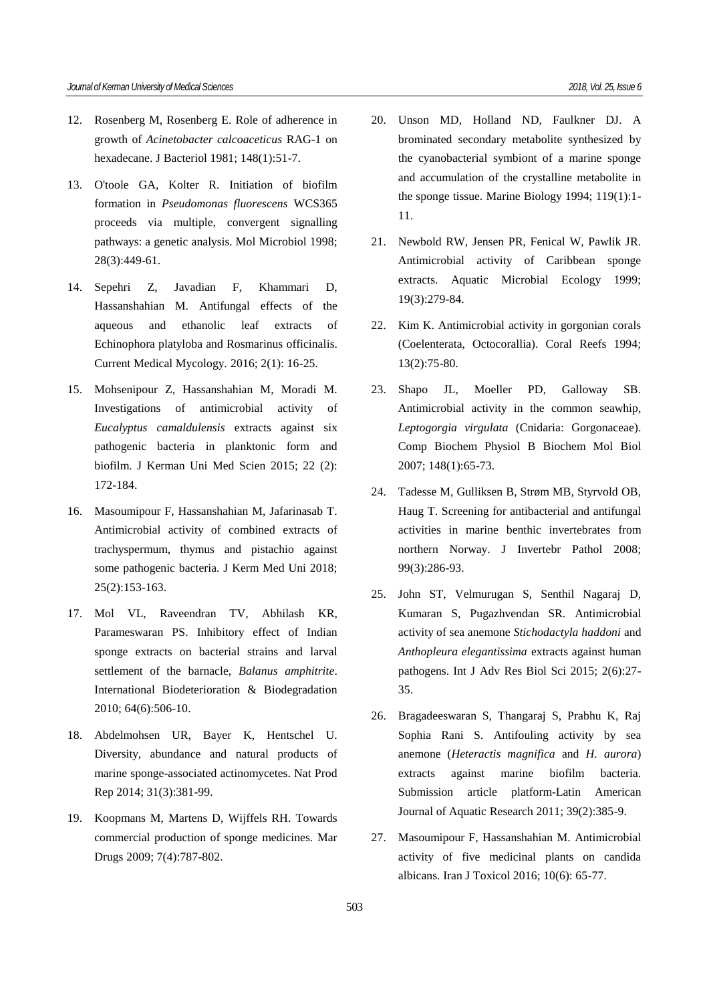- 12. Rosenberg M, Rosenberg E. Role of adherence in growth of *Acinetobacter calcoaceticus* RAG-1 on hexadecane. J Bacteriol 1981; 148(1):51-7.
- 13. O'toole GA, Kolter R. Initiation of biofilm formation in *Pseudomonas fluorescens* WCS365 proceeds via multiple, convergent signalling pathways: a genetic analysis. Mol Microbiol 1998; 28(3):449-61.
- 14. Sepehri Z, Javadian F, Khammari D, Hassanshahian M. Antifungal effects of the aqueous and ethanolic leaf extracts of Echinophora platyloba and Rosmarinus officinalis. Current Medical Mycology. 2016; 2(1): 16-25.
- 15. Mohsenipour Z, Hassanshahian M, Moradi M. Investigations of antimicrobial activity of *Eucalyptus camaldulensis* extracts against six pathogenic bacteria in planktonic form and biofilm. J Kerman Uni Med Scien 2015; 22 (2): 172-184.
- 16. Masoumipour F, Hassanshahian M, Jafarinasab T. Antimicrobial activity of combined extracts of trachyspermum, thymus and pistachio against some pathogenic bacteria. J Kerm Med Uni 2018; 25(2):153-163.
- 17. Mol VL, Raveendran TV, Abhilash KR, Parameswaran PS. Inhibitory effect of Indian sponge extracts on bacterial strains and larval settlement of the barnacle, *Balanus amphitrite*. International Biodeterioration & Biodegradation 2010; 64(6):506-10.
- 18. Abdelmohsen UR, Bayer K, Hentschel U. Diversity, abundance and natural products of marine sponge-associated actinomycetes. Nat Prod Rep 2014; 31(3):381-99.
- 19. Koopmans M, Martens D, Wijffels RH. Towards commercial production of sponge medicines. Mar Drugs 2009; 7(4):787-802.
- 20. Unson MD, Holland ND, Faulkner DJ. A brominated secondary metabolite synthesized by the cyanobacterial symbiont of a marine sponge and accumulation of the crystalline metabolite in the sponge tissue. Marine Biology 1994; 119(1):1- 11.
- 21. Newbold RW, Jensen PR, Fenical W, Pawlik JR. Antimicrobial activity of Caribbean sponge extracts. Aquatic Microbial Ecology 1999; 19(3):279-84.
- 22. Kim K. Antimicrobial activity in gorgonian corals (Coelenterata, Octocorallia). Coral Reefs 1994; 13(2):75-80.
- 23. Shapo JL, Moeller PD, Galloway SB. Antimicrobial activity in the common seawhip, *Leptogorgia virgulata* (Cnidaria: Gorgonaceae). Comp Biochem Physiol B Biochem Mol Biol 2007; 148(1):65-73.
- 24. Tadesse M, Gulliksen B, Strøm MB, Styrvold OB, Haug T. Screening for antibacterial and antifungal activities in marine benthic invertebrates from northern Norway. J Invertebr Pathol 2008; 99(3):286-93.
- 25. John ST, Velmurugan S, Senthil Nagaraj D, Kumaran S, Pugazhvendan SR. Antimicrobial activity of sea anemone *Stichodactyla haddoni* and *Anthopleura elegantissima* extracts against human pathogens. Int J Adv Res Biol Sci 2015; 2(6):27- 35.
- 26. Bragadeeswaran S, Thangaraj S, Prabhu K, Raj Sophia Rani S. Antifouling activity by sea anemone (*Heteractis magnifica* and *H. aurora*) extracts against marine biofilm bacteria. Submission article platform-Latin American Journal of Aquatic Research 2011; 39(2):385-9.
- 27. Masoumipour F, Hassanshahian M. Antimicrobial activity of five medicinal plants on candida albicans. Iran J Toxicol 2016; 10(6): 65-77.